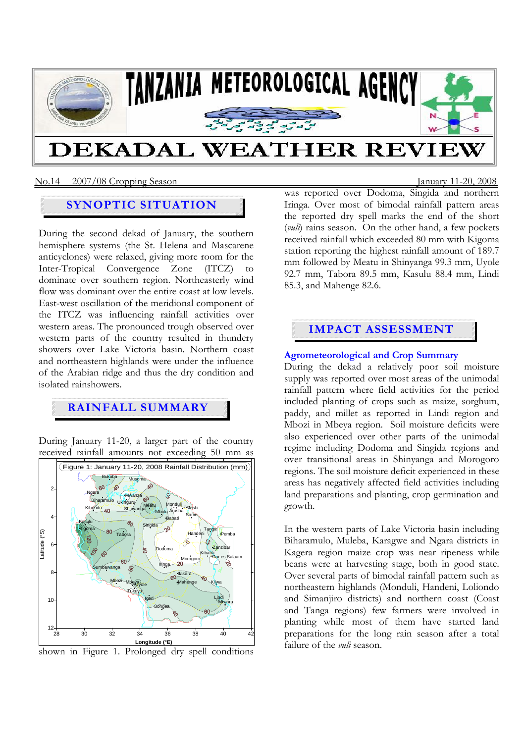

### No.14 2007/08 Cropping SeasonJanuary 11-20, 2008

# **SYNOPTIC SITUATION**

During the second dekad of January, the southern hemisphere systems (the St. Helena and Mascarene anticyclones) were relaxed, giving more room for the Inter-Tropical Convergence Zone (ITCZ) to dominate over southern region. Northeasterly wind flow was dominant over the entire coast at low levels. East-west oscillation of the meridional component of the ITCZ was influencing rainfall activities over western areas. The pronounced trough observed over western parts of the country resulted in thundery showers over Lake Victoria basin. Northern coast and northeastern highlands were under the influence of the Arabian ridge and thus the dry condition and isolated rainshowers.

# **RAINFALL SUMMARY**

During January 11-20, a larger part of the country received rainfall amounts not exceeding 50 mm as





was reported over Dodoma, Singida and northern Iringa. Over most of bimodal rainfall pattern areas the reported dry spell marks the end of the short (*vuli*) rains season. On the other hand, a few pockets received rainfall which exceeded 80 mm with Kigoma station reporting the highest rainfall amount of 189.7 mm followed by Meatu in Shinyanga 99.3 mm, Uyole 92.7 mm, Tabora 89.5 mm, Kasulu 88.4 mm, Lindi 85.3, and Mahenge 82.6.

# **IMPACT ASSESSMENT**

## **Agrometeorological and Crop Summary**

During the dekad a relatively poor soil moisture supply was reported over most areas of the unimodal rainfall pattern where field activities for the period included planting of crops such as maize, sorghum, paddy, and millet as reported in Lindi region and Mbozi in Mbeya region. Soil moisture deficits were also experienced over other parts of the unimodal regime including Dodoma and Singida regions and over transitional areas in Shinyanga and Morogoro regions. The soil moisture deficit experienced in these areas has negatively affected field activities including land preparations and planting, crop germination and growth.

In the western parts of Lake Victoria basin including Biharamulo, Muleba, Karagwe and Ngara districts in Kagera region maize crop was near ripeness while beans were at harvesting stage, both in good state. Over several parts of bimodal rainfall pattern such as northeastern highlands (Monduli, Handeni, Loliondo and Simanjiro districts) and northern coast (Coast and Tanga regions) few farmers were involved in planting while most of them have started land preparations for the long rain season after a total failure of the *vuli* season.